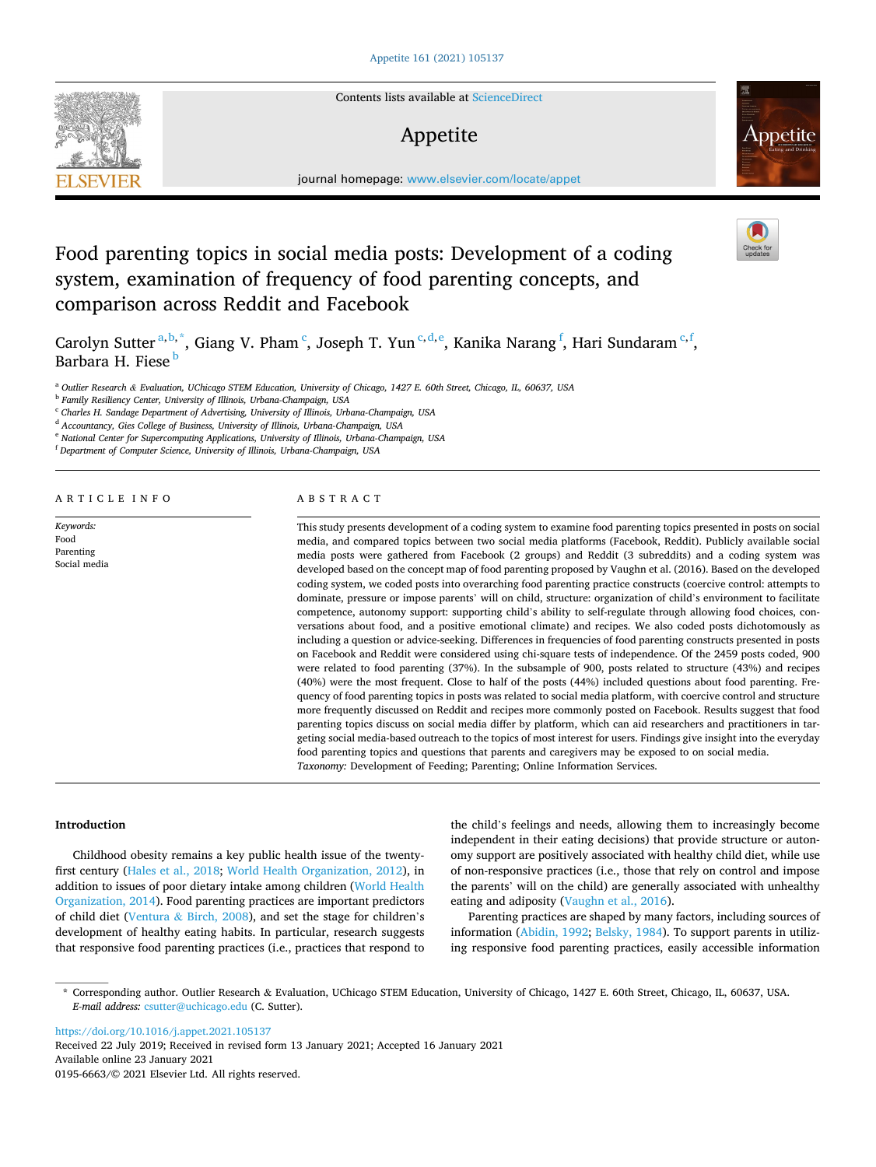

Contents lists available at [ScienceDirect](www.sciencedirect.com/science/journal/01956663)

# Appetite



journal homepage: [www.elsevier.com/locate/appet](https://www.elsevier.com/locate/appet) 

# Food parenting topics in social media posts: Development of a coding system, examination of frequency of food parenting concepts, and comparison across Reddit and Facebook

Carolyn Sutter<sup>a, b,\*</sup>, Giang V. Pham<sup>c</sup>, Joseph T. Yun<sup>c, d, e</sup>, Kanika Narang<sup>f</sup>, Hari Sundaram<sup>c, f</sup>, Barbara H. Fiese<sup>b</sup>

<sup>a</sup> *Outlier Research & Evaluation, UChicago STEM Education, University of Chicago, 1427 E. 60th Street, Chicago, IL, 60637, USA* 

<sup>b</sup> *Family Resiliency Center, University of Illinois, Urbana-Champaign, USA* 

<sup>c</sup> *Charles H. Sandage Department of Advertising, University of Illinois, Urbana-Champaign, USA* 

<sup>d</sup> *Accountancy, Gies College of Business, University of Illinois, Urbana-Champaign, USA* 

<sup>e</sup> *National Center for Supercomputing Applications, University of Illinois, Urbana-Champaign, USA* 

<sup>f</sup> *Department of Computer Science, University of Illinois, Urbana-Champaign, USA* 

ARTICLE INFO

*Keywords:*  Food Parenting Social media

# ABSTRACT

This study presents development of a coding system to examine food parenting topics presented in posts on social media, and compared topics between two social media platforms (Facebook, Reddit). Publicly available social media posts were gathered from Facebook (2 groups) and Reddit (3 subreddits) and a coding system was developed based on the concept map of food parenting proposed by Vaughn et al. (2016). Based on the developed coding system, we coded posts into overarching food parenting practice constructs (coercive control: attempts to dominate, pressure or impose parents' will on child, structure: organization of child's environment to facilitate competence, autonomy support: supporting child's ability to self-regulate through allowing food choices, conversations about food, and a positive emotional climate) and recipes. We also coded posts dichotomously as including a question or advice-seeking. Differences in frequencies of food parenting constructs presented in posts on Facebook and Reddit were considered using chi-square tests of independence. Of the 2459 posts coded, 900 were related to food parenting (37%). In the subsample of 900, posts related to structure (43%) and recipes (40%) were the most frequent. Close to half of the posts (44%) included questions about food parenting. Frequency of food parenting topics in posts was related to social media platform, with coercive control and structure more frequently discussed on Reddit and recipes more commonly posted on Facebook. Results suggest that food parenting topics discuss on social media differ by platform, which can aid researchers and practitioners in targeting social media-based outreach to the topics of most interest for users. Findings give insight into the everyday food parenting topics and questions that parents and caregivers may be exposed to on social media. *Taxonomy:* Development of Feeding; Parenting; Online Information Services.

# **Introduction**

Childhood obesity remains a key public health issue of the twentyfirst century ([Hales et al., 2018;](#page-8-0) [World Health Organization, 2012\)](#page-9-0), in addition to issues of poor dietary intake among children [\(World Health](#page-9-0)  [Organization, 2014\)](#page-9-0). Food parenting practices are important predictors of child diet (Ventura & [Birch, 2008](#page-9-0)), and set the stage for children's development of healthy eating habits. In particular, research suggests that responsive food parenting practices (i.e., practices that respond to the child's feelings and needs, allowing them to increasingly become independent in their eating decisions) that provide structure or autonomy support are positively associated with healthy child diet, while use of non-responsive practices (i.e., those that rely on control and impose the parents' will on the child) are generally associated with unhealthy eating and adiposity ([Vaughn et al., 2016\)](#page-8-0).

Parenting practices are shaped by many factors, including sources of information ([Abidin, 1992](#page-8-0); [Belsky, 1984](#page-8-0)). To support parents in utilizing responsive food parenting practices, easily accessible information

<https://doi.org/10.1016/j.appet.2021.105137>

Available online 23 January 2021 0195-6663/© 2021 Elsevier Ltd. All rights reserved. Received 22 July 2019; Received in revised form 13 January 2021; Accepted 16 January 2021

<sup>\*</sup> Corresponding author. Outlier Research & Evaluation, UChicago STEM Education, University of Chicago, 1427 E. 60th Street, Chicago, IL, 60637, USA. *E-mail address:* [csutter@uchicago.edu](mailto:csutter@uchicago.edu) (C. Sutter).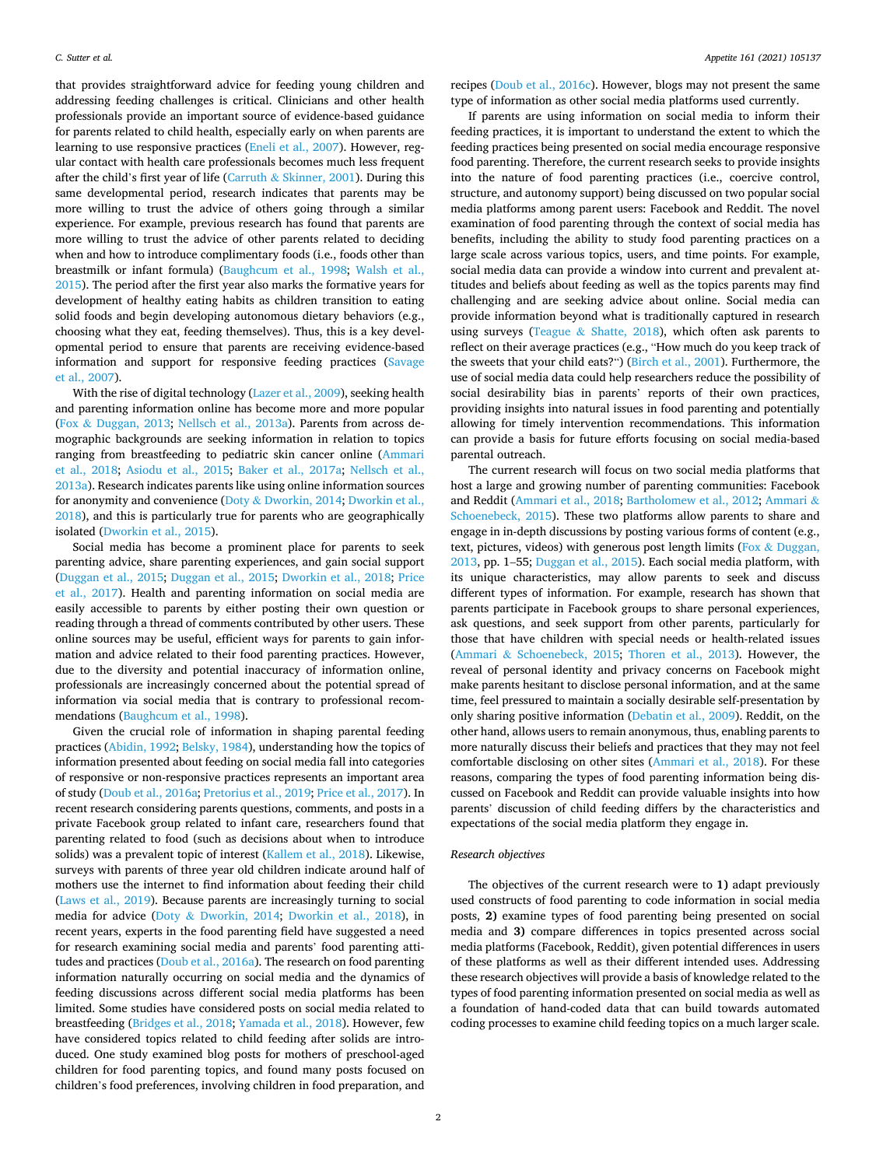that provides straightforward advice for feeding young children and addressing feeding challenges is critical. Clinicians and other health professionals provide an important source of evidence-based guidance for parents related to child health, especially early on when parents are learning to use responsive practices ([Eneli et al., 2007\)](#page-8-0). However, regular contact with health care professionals becomes much less frequent after the child's first year of life (Carruth  $\&$  [Skinner, 2001\)](#page-8-0). During this same developmental period, research indicates that parents may be more willing to trust the advice of others going through a similar experience. For example, previous research has found that parents are more willing to trust the advice of other parents related to deciding when and how to introduce complimentary foods (i.e., foods other than breastmilk or infant formula) ([Baughcum et al., 1998;](#page-8-0) [Walsh et al.,](#page-9-0)  [2015\)](#page-9-0). The period after the first year also marks the formative years for development of healthy eating habits as children transition to eating solid foods and begin developing autonomous dietary behaviors (e.g., choosing what they eat, feeding themselves). Thus, this is a key developmental period to ensure that parents are receiving evidence-based information and support for responsive feeding practices [\(Savage](#page-8-0)  [et al., 2007\)](#page-8-0).

With the rise of digital technology [\(Lazer et al., 2009\)](#page-8-0), seeking health and parenting information online has become more and more popular (Fox & [Duggan, 2013;](#page-8-0) [Nellsch et al., 2013a\)](#page-8-0). Parents from across demographic backgrounds are seeking information in relation to topics ranging from breastfeeding to pediatric skin cancer online [\(Ammari](#page-8-0)  [et al., 2018](#page-8-0); [Asiodu et al., 2015](#page-8-0); [Baker et al., 2017a](#page-8-0); [Nellsch et al.,](#page-8-0)  [2013a\)](#page-8-0). Research indicates parents like using online information sources for anonymity and convenience (Doty & [Dworkin, 2014; Dworkin et al.,](#page-8-0)  [2018\)](#page-8-0), and this is particularly true for parents who are geographically isolated [\(Dworkin et al., 2015](#page-8-0)).

Social media has become a prominent place for parents to seek parenting advice, share parenting experiences, and gain social support ([Duggan et al., 2015](#page-8-0); [Duggan et al., 2015;](#page-8-0) [Dworkin et al., 2018;](#page-8-0) [Price](#page-8-0)  [et al., 2017](#page-8-0)). Health and parenting information on social media are easily accessible to parents by either posting their own question or reading through a thread of comments contributed by other users. These online sources may be useful, efficient ways for parents to gain information and advice related to their food parenting practices. However, due to the diversity and potential inaccuracy of information online, professionals are increasingly concerned about the potential spread of information via social media that is contrary to professional recommendations ([Baughcum et al., 1998\)](#page-8-0).

Given the crucial role of information in shaping parental feeding practices ([Abidin, 1992; Belsky, 1984\)](#page-8-0), understanding how the topics of information presented about feeding on social media fall into categories of responsive or non-responsive practices represents an important area of study [\(Doub et al., 2016a](#page-8-0); [Pretorius et al., 2019](#page-8-0); [Price et al., 2017](#page-8-0)). In recent research considering parents questions, comments, and posts in a private Facebook group related to infant care, researchers found that parenting related to food (such as decisions about when to introduce solids) was a prevalent topic of interest [\(Kallem et al., 2018](#page-8-0)). Likewise, surveys with parents of three year old children indicate around half of mothers use the internet to find information about feeding their child ([Laws et al., 2019](#page-8-0)). Because parents are increasingly turning to social media for advice (Doty & [Dworkin, 2014](#page-8-0); [Dworkin et al., 2018\)](#page-8-0), in recent years, experts in the food parenting field have suggested a need for research examining social media and parents' food parenting attitudes and practices [\(Doub et al., 2016a](#page-8-0)). The research on food parenting information naturally occurring on social media and the dynamics of feeding discussions across different social media platforms has been limited. Some studies have considered posts on social media related to breastfeeding [\(Bridges et al., 2018](#page-8-0); [Yamada et al., 2018\)](#page-9-0). However, few have considered topics related to child feeding after solids are introduced. One study examined blog posts for mothers of preschool-aged children for food parenting topics, and found many posts focused on children's food preferences, involving children in food preparation, and

recipes ([Doub et al., 2016c\)](#page-8-0). However, blogs may not present the same type of information as other social media platforms used currently.

If parents are using information on social media to inform their feeding practices, it is important to understand the extent to which the feeding practices being presented on social media encourage responsive food parenting. Therefore, the current research seeks to provide insights into the nature of food parenting practices (i.e., coercive control, structure, and autonomy support) being discussed on two popular social media platforms among parent users: Facebook and Reddit. The novel examination of food parenting through the context of social media has benefits, including the ability to study food parenting practices on a large scale across various topics, users, and time points. For example, social media data can provide a window into current and prevalent attitudes and beliefs about feeding as well as the topics parents may find challenging and are seeking advice about online. Social media can provide information beyond what is traditionally captured in research using surveys (Teague  $\&$  [Shatte, 2018](#page-8-0)), which often ask parents to reflect on their average practices (e.g., "How much do you keep track of the sweets that your child eats?") [\(Birch et al., 2001](#page-8-0)). Furthermore, the use of social media data could help researchers reduce the possibility of social desirability bias in parents' reports of their own practices, providing insights into natural issues in food parenting and potentially allowing for timely intervention recommendations. This information can provide a basis for future efforts focusing on social media-based parental outreach.

The current research will focus on two social media platforms that host a large and growing number of parenting communities: Facebook and Reddit ([Ammari et al., 2018; Bartholomew et al., 2012;](#page-8-0) [Ammari](#page-8-0) & [Schoenebeck, 2015](#page-8-0)). These two platforms allow parents to share and engage in in-depth discussions by posting various forms of content (e.g., text, pictures, videos) with generous post length limits (Fox & [Duggan,](#page-8-0)  [2013,](#page-8-0) pp. 1–55; [Duggan et al., 2015\)](#page-8-0). Each social media platform, with its unique characteristics, may allow parents to seek and discuss different types of information. For example, research has shown that parents participate in Facebook groups to share personal experiences, ask questions, and seek support from other parents, particularly for those that have children with special needs or health-related issues (Ammari & [Schoenebeck, 2015](#page-8-0); [Thoren et al., 2013\)](#page-8-0). However, the reveal of personal identity and privacy concerns on Facebook might make parents hesitant to disclose personal information, and at the same time, feel pressured to maintain a socially desirable self-presentation by only sharing positive information ([Debatin et al., 2009\)](#page-8-0). Reddit, on the other hand, allows users to remain anonymous, thus, enabling parents to more naturally discuss their beliefs and practices that they may not feel comfortable disclosing on other sites [\(Ammari et al., 2018\)](#page-8-0). For these reasons, comparing the types of food parenting information being discussed on Facebook and Reddit can provide valuable insights into how parents' discussion of child feeding differs by the characteristics and expectations of the social media platform they engage in.

## *Research objectives*

The objectives of the current research were to **1)** adapt previously used constructs of food parenting to code information in social media posts, **2)** examine types of food parenting being presented on social media and **3)** compare differences in topics presented across social media platforms (Facebook, Reddit), given potential differences in users of these platforms as well as their different intended uses. Addressing these research objectives will provide a basis of knowledge related to the types of food parenting information presented on social media as well as a foundation of hand-coded data that can build towards automated coding processes to examine child feeding topics on a much larger scale.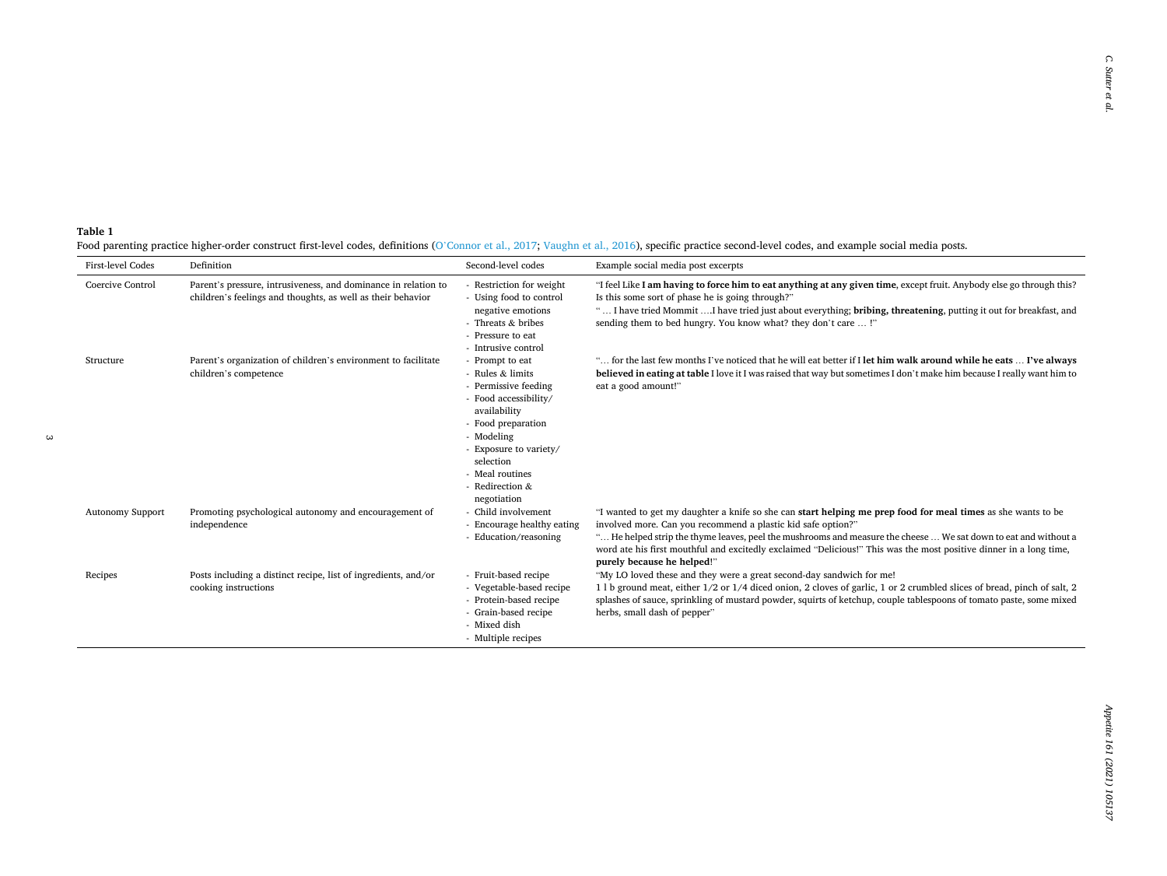<span id="page-2-0"></span>**Table 1** 

Food parenting practice higher-order construct first-level codes, definitions (O'[Connor et al., 2017](#page-8-0); [Vaughn et al., 2016](#page-8-0)), specific practice second-level codes, and example social media posts.

| First-level Codes       | Definition                                                                                                                    | Second-level codes                                                                                                                                                                                                                   | Example social media post excerpts                                                                                                                                                                                                                                                                                                                                                                                                                         |
|-------------------------|-------------------------------------------------------------------------------------------------------------------------------|--------------------------------------------------------------------------------------------------------------------------------------------------------------------------------------------------------------------------------------|------------------------------------------------------------------------------------------------------------------------------------------------------------------------------------------------------------------------------------------------------------------------------------------------------------------------------------------------------------------------------------------------------------------------------------------------------------|
| Coercive Control        | Parent's pressure, intrusiveness, and dominance in relation to<br>children's feelings and thoughts, as well as their behavior | - Restriction for weight<br>- Using food to control<br>negative emotions<br>- Threats & bribes<br>- Pressure to eat<br>- Intrusive control                                                                                           | "I feel Like I am having to force him to eat anything at any given time, except fruit. Anybody else go through this?<br>Is this some sort of phase he is going through?"<br>" I have tried Mommit I have tried just about everything; <b>bribing, threatening</b> , putting it out for breakfast, and<br>sending them to bed hungry. You know what? they don't care  !"                                                                                    |
| Structure               | Parent's organization of children's environment to facilitate<br>children's competence                                        | - Prompt to eat<br>- Rules & limits<br>- Permissive feeding<br>- Food accessibility/<br>availability<br>- Food preparation<br>- Modeling<br>- Exposure to variety/<br>selection<br>- Meal routines<br>- Redirection &<br>negotiation | " for the last few months I've noticed that he will eat better if I let him walk around while he eats  I've always<br>believed in eating at table I love it I was raised that way but sometimes I don't make him because I really want him to<br>eat a good amount!"                                                                                                                                                                                       |
| <b>Autonomy Support</b> | Promoting psychological autonomy and encouragement of<br>independence                                                         | - Child involvement<br>- Encourage healthy eating<br>- Education/reasoning                                                                                                                                                           | "I wanted to get my daughter a knife so she can <b>start helping me prep food for meal times</b> as she wants to be<br>involved more. Can you recommend a plastic kid safe option?"<br>" He helped strip the thyme leaves, peel the mushrooms and measure the cheese  We sat down to eat and without a<br>word ate his first mouthful and excitedly exclaimed "Delicious!" This was the most positive dinner in a long time,<br>purely because he helped!" |
| Recipes                 | Posts including a distinct recipe, list of ingredients, and/or<br>cooking instructions                                        | - Fruit-based recipe<br>- Vegetable-based recipe<br>- Protein-based recipe<br>- Grain-based recipe<br>- Mixed dish<br>- Multiple recipes                                                                                             | "My LO loved these and they were a great second-day sandwich for me!<br>1 l b ground meat, either 1/2 or 1/4 diced onion, 2 cloves of garlic, 1 or 2 crumbled slices of bread, pinch of salt, 2<br>splashes of sauce, sprinkling of mustard powder, squirts of ketchup, couple tablespoons of tomato paste, some mixed<br>herbs, small dash of pepper"                                                                                                     |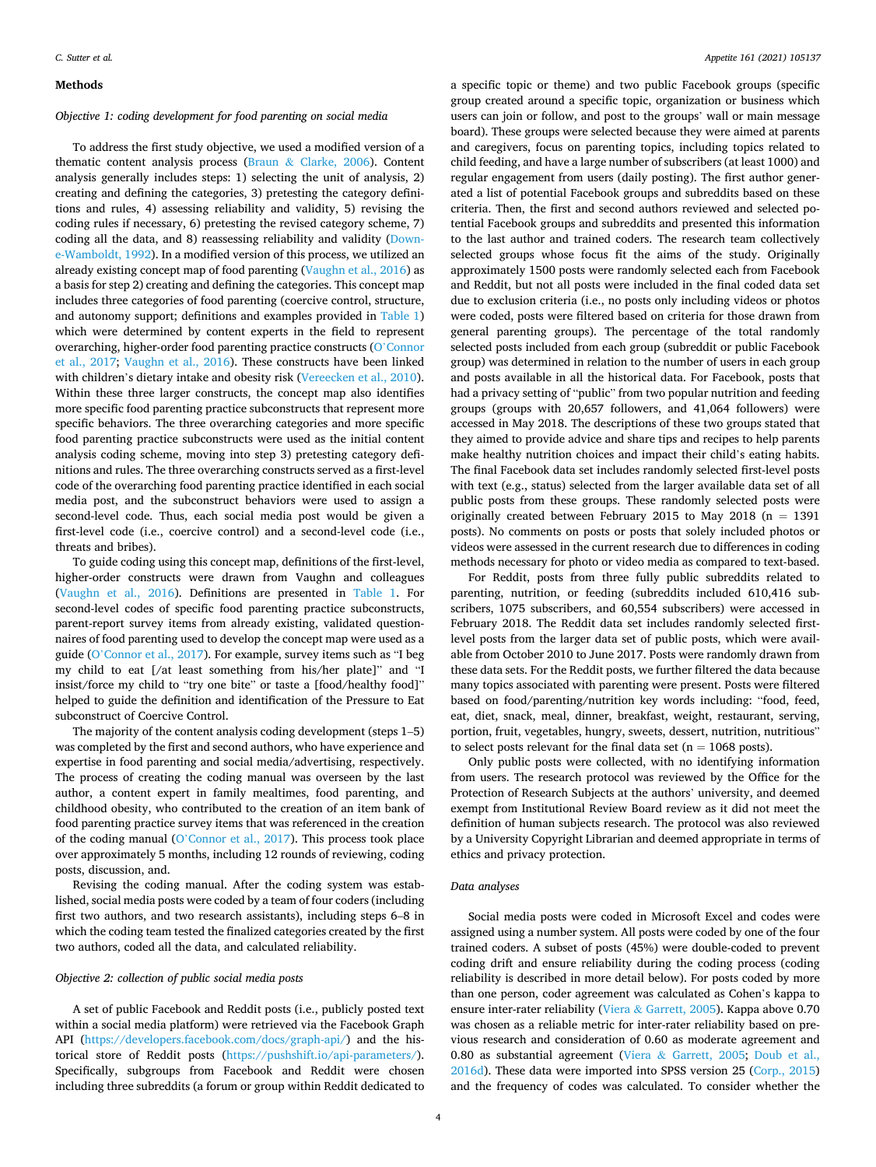## **Methods**

# *Objective 1: coding development for food parenting on social media*

To address the first study objective, we used a modified version of a thematic content analysis process (Braun & [Clarke, 2006](#page-8-0)). Content analysis generally includes steps: 1) selecting the unit of analysis, 2) creating and defining the categories, 3) pretesting the category definitions and rules, 4) assessing reliability and validity, 5) revising the coding rules if necessary, 6) pretesting the revised category scheme, 7) coding all the data, and 8) reassessing reliability and validity [\(Down](#page-8-0)[e-Wamboldt, 1992\)](#page-8-0). In a modified version of this process, we utilized an already existing concept map of food parenting ([Vaughn et al., 2016](#page-8-0)) as a basis for step 2) creating and defining the categories. This concept map includes three categories of food parenting (coercive control, structure, and autonomy support; definitions and examples provided in [Table 1\)](#page-2-0) which were determined by content experts in the field to represent overarching, higher-order food parenting practice constructs (O'[Connor](#page-8-0)  [et al., 2017](#page-8-0); [Vaughn et al., 2016](#page-8-0)). These constructs have been linked with children's dietary intake and obesity risk ([Vereecken et al., 2010](#page-9-0)). Within these three larger constructs, the concept map also identifies more specific food parenting practice subconstructs that represent more specific behaviors. The three overarching categories and more specific food parenting practice subconstructs were used as the initial content analysis coding scheme, moving into step 3) pretesting category definitions and rules. The three overarching constructs served as a first-level code of the overarching food parenting practice identified in each social media post, and the subconstruct behaviors were used to assign a second-level code. Thus, each social media post would be given a first-level code (i.e., coercive control) and a second-level code (i.e., threats and bribes).

To guide coding using this concept map, definitions of the first-level, higher-order constructs were drawn from Vaughn and colleagues ([Vaughn et al., 2016\)](#page-8-0). Definitions are presented in [Table 1.](#page-2-0) For second-level codes of specific food parenting practice subconstructs, parent-report survey items from already existing, validated questionnaires of food parenting used to develop the concept map were used as a guide (O'[Connor et al., 2017\)](#page-8-0). For example, survey items such as "I beg my child to eat [/at least something from his/her plate]" and "I insist/force my child to "try one bite" or taste a [food/healthy food]" helped to guide the definition and identification of the Pressure to Eat subconstruct of Coercive Control.

The majority of the content analysis coding development (steps 1–5) was completed by the first and second authors, who have experience and expertise in food parenting and social media/advertising, respectively. The process of creating the coding manual was overseen by the last author, a content expert in family mealtimes, food parenting, and childhood obesity, who contributed to the creation of an item bank of food parenting practice survey items that was referenced in the creation of the coding manual (O'[Connor et al., 2017\)](#page-8-0). This process took place over approximately 5 months, including 12 rounds of reviewing, coding posts, discussion, and.

Revising the coding manual. After the coding system was established, social media posts were coded by a team of four coders (including first two authors, and two research assistants), including steps 6–8 in which the coding team tested the finalized categories created by the first two authors, coded all the data, and calculated reliability.

## *Objective 2: collection of public social media posts*

A set of public Facebook and Reddit posts (i.e., publicly posted text within a social media platform) were retrieved via the Facebook Graph API (<https://developers.facebook.com/docs/graph-api/>) and the historical store of Reddit posts [\(https://pushshift.io/api-parameters/](https://pushshift.io/api-parameters/)). Specifically, subgroups from Facebook and Reddit were chosen including three subreddits (a forum or group within Reddit dedicated to a specific topic or theme) and two public Facebook groups (specific group created around a specific topic, organization or business which users can join or follow, and post to the groups' wall or main message board). These groups were selected because they were aimed at parents and caregivers, focus on parenting topics, including topics related to child feeding, and have a large number of subscribers (at least 1000) and regular engagement from users (daily posting). The first author generated a list of potential Facebook groups and subreddits based on these criteria. Then, the first and second authors reviewed and selected potential Facebook groups and subreddits and presented this information to the last author and trained coders. The research team collectively selected groups whose focus fit the aims of the study. Originally approximately 1500 posts were randomly selected each from Facebook and Reddit, but not all posts were included in the final coded data set due to exclusion criteria (i.e., no posts only including videos or photos were coded, posts were filtered based on criteria for those drawn from general parenting groups). The percentage of the total randomly selected posts included from each group (subreddit or public Facebook group) was determined in relation to the number of users in each group and posts available in all the historical data. For Facebook, posts that had a privacy setting of "public" from two popular nutrition and feeding groups (groups with 20,657 followers, and 41,064 followers) were accessed in May 2018. The descriptions of these two groups stated that they aimed to provide advice and share tips and recipes to help parents make healthy nutrition choices and impact their child's eating habits. The final Facebook data set includes randomly selected first-level posts with text (e.g., status) selected from the larger available data set of all public posts from these groups. These randomly selected posts were originally created between February 2015 to May 2018 ( $n = 1391$ posts). No comments on posts or posts that solely included photos or videos were assessed in the current research due to differences in coding methods necessary for photo or video media as compared to text-based.

For Reddit, posts from three fully public subreddits related to parenting, nutrition, or feeding (subreddits included 610,416 subscribers, 1075 subscribers, and 60,554 subscribers) were accessed in February 2018. The Reddit data set includes randomly selected firstlevel posts from the larger data set of public posts, which were available from October 2010 to June 2017. Posts were randomly drawn from these data sets. For the Reddit posts, we further filtered the data because many topics associated with parenting were present. Posts were filtered based on food/parenting/nutrition key words including: "food, feed, eat, diet, snack, meal, dinner, breakfast, weight, restaurant, serving, portion, fruit, vegetables, hungry, sweets, dessert, nutrition, nutritious" to select posts relevant for the final data set ( $n = 1068$  posts).

Only public posts were collected, with no identifying information from users. The research protocol was reviewed by the Office for the Protection of Research Subjects at the authors' university, and deemed exempt from Institutional Review Board review as it did not meet the definition of human subjects research. The protocol was also reviewed by a University Copyright Librarian and deemed appropriate in terms of ethics and privacy protection.

# *Data analyses*

Social media posts were coded in Microsoft Excel and codes were assigned using a number system. All posts were coded by one of the four trained coders. A subset of posts (45%) were double-coded to prevent coding drift and ensure reliability during the coding process (coding reliability is described in more detail below). For posts coded by more than one person, coder agreement was calculated as Cohen's kappa to ensure inter-rater reliability (Viera & [Garrett, 2005](#page-9-0)). Kappa above 0.70 was chosen as a reliable metric for inter-rater reliability based on previous research and consideration of 0.60 as moderate agreement and 0.80 as substantial agreement (Viera & [Garrett, 2005;](#page-9-0) [Doub et al.,](#page-8-0)  [2016d](#page-8-0)). These data were imported into SPSS version 25 ([Corp., 2015\)](#page-8-0) and the frequency of codes was calculated. To consider whether the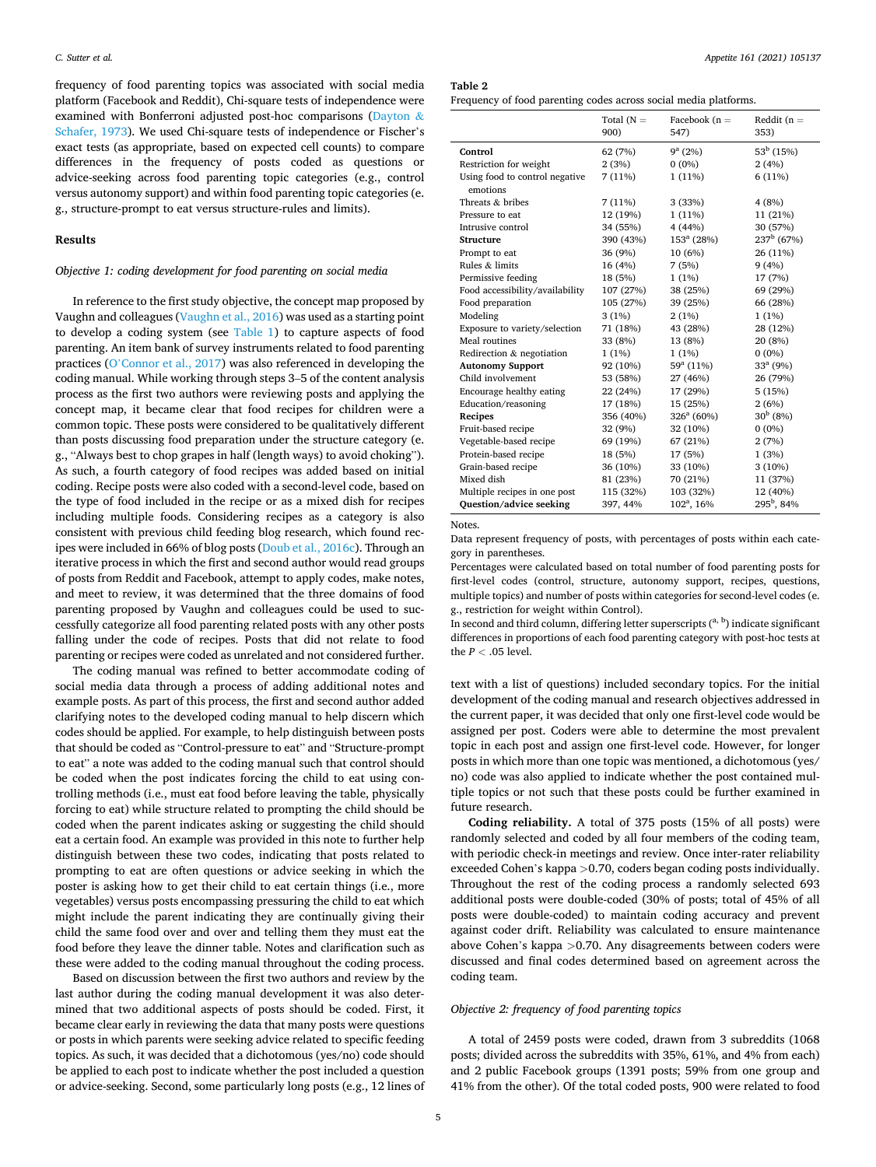<span id="page-4-0"></span>frequency of food parenting topics was associated with social media platform (Facebook and Reddit), Chi-square tests of independence were examined with Bonferroni adjusted post-hoc comparisons [\(Dayton](#page-8-0) & [Schafer, 1973\)](#page-8-0). We used Chi-square tests of independence or Fischer's exact tests (as appropriate, based on expected cell counts) to compare differences in the frequency of posts coded as questions or advice-seeking across food parenting topic categories (e.g., control versus autonomy support) and within food parenting topic categories (e. g., structure-prompt to eat versus structure-rules and limits).

# **Results**

# *Objective 1: coding development for food parenting on social media*

In reference to the first study objective, the concept map proposed by Vaughn and colleagues [\(Vaughn et al., 2016\)](#page-8-0) was used as a starting point to develop a coding system (see [Table 1\)](#page-2-0) to capture aspects of food parenting. An item bank of survey instruments related to food parenting practices (O'[Connor et al., 2017\)](#page-8-0) was also referenced in developing the coding manual. While working through steps 3–5 of the content analysis process as the first two authors were reviewing posts and applying the concept map, it became clear that food recipes for children were a common topic. These posts were considered to be qualitatively different than posts discussing food preparation under the structure category (e. g., "Always best to chop grapes in half (length ways) to avoid choking"). As such, a fourth category of food recipes was added based on initial coding. Recipe posts were also coded with a second-level code, based on the type of food included in the recipe or as a mixed dish for recipes including multiple foods. Considering recipes as a category is also consistent with previous child feeding blog research, which found recipes were included in 66% of blog posts [\(Doub et al., 2016c](#page-8-0)). Through an iterative process in which the first and second author would read groups of posts from Reddit and Facebook, attempt to apply codes, make notes, and meet to review, it was determined that the three domains of food parenting proposed by Vaughn and colleagues could be used to successfully categorize all food parenting related posts with any other posts falling under the code of recipes. Posts that did not relate to food parenting or recipes were coded as unrelated and not considered further.

The coding manual was refined to better accommodate coding of social media data through a process of adding additional notes and example posts. As part of this process, the first and second author added clarifying notes to the developed coding manual to help discern which codes should be applied. For example, to help distinguish between posts that should be coded as "Control-pressure to eat" and "Structure-prompt to eat" a note was added to the coding manual such that control should be coded when the post indicates forcing the child to eat using controlling methods (i.e., must eat food before leaving the table, physically forcing to eat) while structure related to prompting the child should be coded when the parent indicates asking or suggesting the child should eat a certain food. An example was provided in this note to further help distinguish between these two codes, indicating that posts related to prompting to eat are often questions or advice seeking in which the poster is asking how to get their child to eat certain things (i.e., more vegetables) versus posts encompassing pressuring the child to eat which might include the parent indicating they are continually giving their child the same food over and over and telling them they must eat the food before they leave the dinner table. Notes and clarification such as these were added to the coding manual throughout the coding process.

Based on discussion between the first two authors and review by the last author during the coding manual development it was also determined that two additional aspects of posts should be coded. First, it became clear early in reviewing the data that many posts were questions or posts in which parents were seeking advice related to specific feeding topics. As such, it was decided that a dichotomous (yes/no) code should be applied to each post to indicate whether the post included a question or advice-seeking. Second, some particularly long posts (e.g., 12 lines of **Table 2** 

Frequency of food parenting codes across social media platforms.

|                                            | Total $(N =$<br>900) | Facebook $(n =$<br>547) | Reddit $(n =$<br>353) |
|--------------------------------------------|----------------------|-------------------------|-----------------------|
| Control                                    | 62 (7%)              | $9^a(2\%)$              | $53^b$ (15%)          |
| Restriction for weight                     | 2(3%)                | $0(0\%)$                | 2(4%)                 |
| Using food to control negative<br>emotions | 7(11%)               | 1(11%)                  | 6(11%)                |
| Threats $&$ bribes                         | 7(11%)               | 3(33%)                  | 4(8%)                 |
| Pressure to eat                            | 12 (19%)             | $1(11\%)$               | 11 (21%)              |
| Intrusive control                          | 34 (55%)             | 4(44%)                  | 30 (57%)              |
| <b>Structure</b>                           | 390 (43%)            | $153^a$ (28%)           | $237^b$ (67%)         |
| Prompt to eat                              | 36 (9%)              | 10 (6%)                 | 26 (11%)              |
| Rules & limits                             | 16 (4%)              | 7(5%)                   | 9(4%)                 |
| Permissive feeding                         | 18 (5%)              | 1(1%)                   | 17 (7%)               |
| Food accessibility/availability            | 107 (27%)            | 38 (25%)                | 69 (29%)              |
| Food preparation                           | 105 (27%)            | 39 (25%)                | 66 (28%)              |
| Modeling                                   | 3(1%)                | 2(1%)                   | 1(1%)                 |
| Exposure to variety/selection              | 71 (18%)             | 43 (28%)                | 28 (12%)              |
| Meal routines                              | 33 (8%)              | 13 (8%)                 | 20 (8%)               |
| Redirection & negotiation                  | 1(1%)                | 1(1%)                   | $0(0\%)$              |
| <b>Autonomy Support</b>                    | 92 (10%)             | $59^a$ (11%)            | $33a$ (9%)            |
| Child involvement                          | 53 (58%)             | 27 (46%)                | 26 (79%)              |
| Encourage healthy eating                   | 22 (24%)             | 17 (29%)                | 5(15%)                |
| Education/reasoning                        | 17 (18%)             | 15 (25%)                | 2(6%)                 |
| Recipes                                    | 356 (40%)            | $326^a (60\%)$          | $30^{b}$ (8%)         |
| Fruit-based recipe                         | 32 (9%)              | 32 (10%)                | $0(0\%)$              |
| Vegetable-based recipe                     | 69 (19%)             | 67 (21%)                | 2(7%)                 |
| Protein-based recipe                       | 18 (5%)              | 17 (5%)                 | 1(3%)                 |
| Grain-based recipe                         | 36 (10%)             | 33 (10%)                | $3(10\%)$             |
| Mixed dish                                 | 81 (23%)             | 70 (21%)                | 11 (37%)              |
| Multiple recipes in one post               | 115 (32%)            | 103 (32%)               | 12 (40%)              |
| <b>Question/advice seeking</b>             | 397, 44%             | $102^a$ , $16\%$        | $295^{\rm b}$ , 84%   |

Notes.

Data represent frequency of posts, with percentages of posts within each category in parentheses.

Percentages were calculated based on total number of food parenting posts for first-level codes (control, structure, autonomy support, recipes, questions, multiple topics) and number of posts within categories for second-level codes (e. g., restriction for weight within Control).

In second and third column, differing letter superscripts  $(^\mathrm{a, b})$  indicate significant differences in proportions of each food parenting category with post-hoc tests at the  $P<.05$  level.

text with a list of questions) included secondary topics. For the initial development of the coding manual and research objectives addressed in the current paper, it was decided that only one first-level code would be assigned per post. Coders were able to determine the most prevalent topic in each post and assign one first-level code. However, for longer posts in which more than one topic was mentioned, a dichotomous (yes/ no) code was also applied to indicate whether the post contained multiple topics or not such that these posts could be further examined in future research.

**Coding reliability.** A total of 375 posts (15% of all posts) were randomly selected and coded by all four members of the coding team, with periodic check-in meetings and review. Once inter-rater reliability exceeded Cohen's kappa *>*0.70, coders began coding posts individually. Throughout the rest of the coding process a randomly selected 693 additional posts were double-coded (30% of posts; total of 45% of all posts were double-coded) to maintain coding accuracy and prevent against coder drift. Reliability was calculated to ensure maintenance above Cohen's kappa *>*0.70. Any disagreements between coders were discussed and final codes determined based on agreement across the coding team.

# *Objective 2: frequency of food parenting topics*

A total of 2459 posts were coded, drawn from 3 subreddits (1068 posts; divided across the subreddits with 35%, 61%, and 4% from each) and 2 public Facebook groups (1391 posts; 59% from one group and 41% from the other). Of the total coded posts, 900 were related to food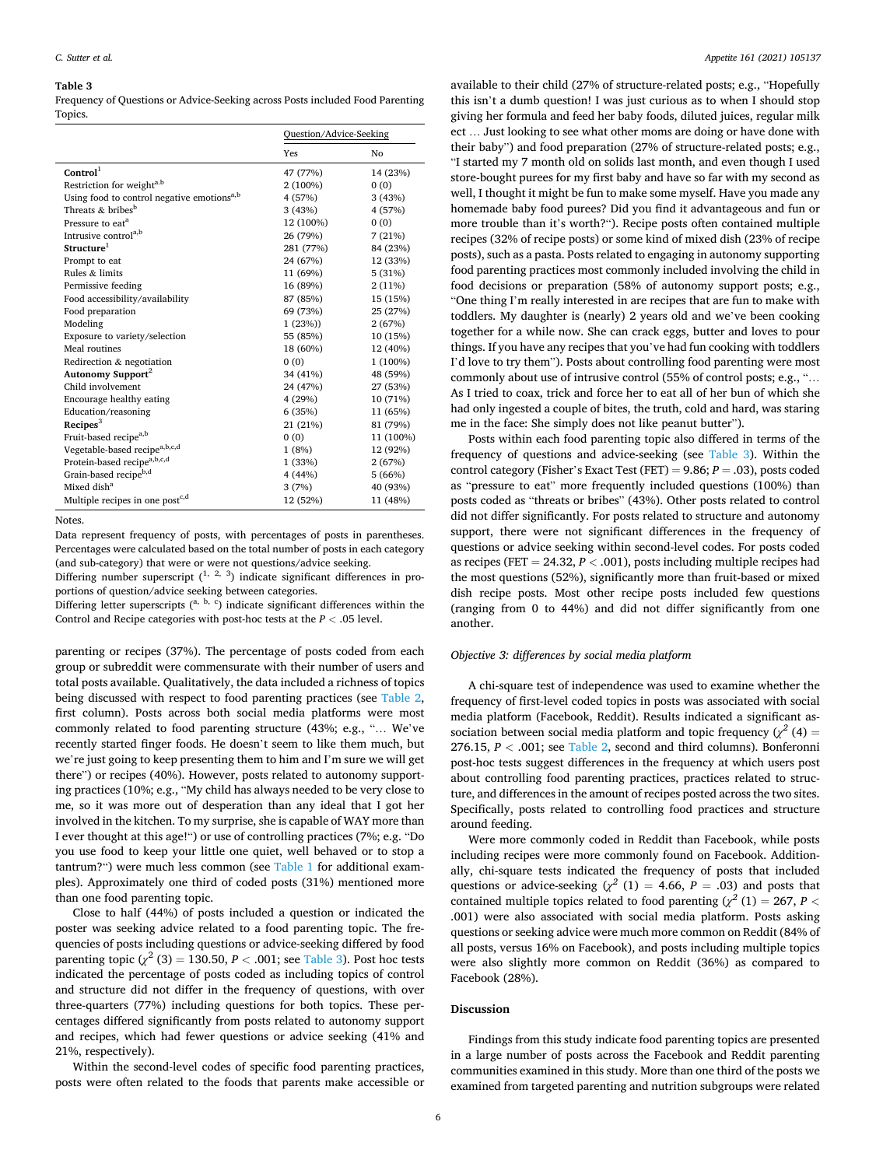#### **Table 3**

Frequency of Questions or Advice-Seeking across Posts included Food Parenting Topics.

|                                                        | Question/Advice-Seeking |           |
|--------------------------------------------------------|-------------------------|-----------|
|                                                        | Yes                     | No        |
| Control <sup>1</sup>                                   | 47 (77%)                | 14 (23%)  |
| Restriction for weight <sup>a.b</sup>                  | 2 (100%)                | 0(0)      |
| Using food to control negative emotions <sup>a,b</sup> | 4 (57%)                 | 3(43%)    |
| Threats $&$ bribes <sup>b</sup>                        | 3(43%)                  | 4 (57%)   |
| Pressure to eat <sup>a</sup>                           | 12 (100%)               | 0(0)      |
| Intrusive control <sup>a,b</sup>                       | 26 (79%)                | 7(21%)    |
| Structure <sup>1</sup>                                 | 281 (77%)               | 84 (23%)  |
| Prompt to eat                                          | 24 (67%)                | 12 (33%)  |
| Rules & limits                                         | 11 (69%)                | 5(31%)    |
| Permissive feeding                                     | 16 (89%)                | 2(11%)    |
| Food accessibility/availability                        | 87 (85%)                | 15 (15%)  |
| Food preparation                                       | 69 (73%)                | 25 (27%)  |
| Modeling                                               | 1(23%)                  | 2(67%)    |
| Exposure to variety/selection                          | 55 (85%)                | 10 (15%)  |
| Meal routines                                          | 18 (60%)                | 12 (40%)  |
| Redirection & negotiation                              | 0(0)                    | 1 (100%)  |
| Autonomy Support <sup>2</sup>                          | 34 (41%)                | 48 (59%)  |
| Child involvement                                      | 24 (47%)                | 27 (53%)  |
| Encourage healthy eating                               | 4 (29%)                 | 10 (71%)  |
| Education/reasoning                                    | 6(35%)                  | 11 (65%)  |
| Recipes <sup>3</sup>                                   | 21 (21%)                | 81 (79%)  |
| Fruit-based recipe <sup>a,b</sup>                      | 0(0)                    | 11 (100%) |
| Vegetable-based recipe $a,b,c,d$                       | 1(8%)                   | 12 (92%)  |
| Protein-based recipe $\sp{a,b,c,d}$                    | 1(33%)                  | 2(67%)    |
| Grain-based recipe <sup>b,d</sup>                      | 4(44%)                  | 5(66%)    |
| Mixed dish <sup>a</sup>                                | 3(7%)                   | 40 (93%)  |
| Multiple recipes in one post <sup>c,d</sup>            | 12 (52%)                | 11 (48%)  |

Notes.

Data represent frequency of posts, with percentages of posts in parentheses. Percentages were calculated based on the total number of posts in each category (and sub-category) that were or were not questions/advice seeking.

Differing number superscript  $(1, 2, 3)$  indicate significant differences in proportions of question/advice seeking between categories.

Differing letter superscripts  $($ <sup>a, b, c</sup>) indicate significant differences within the Control and Recipe categories with post-hoc tests at the *P <* .05 level.

parenting or recipes (37%). The percentage of posts coded from each group or subreddit were commensurate with their number of users and total posts available. Qualitatively, the data included a richness of topics being discussed with respect to food parenting practices (see [Table 2](#page-4-0), first column). Posts across both social media platforms were most commonly related to food parenting structure (43%; e.g., "… We've recently started finger foods. He doesn't seem to like them much, but we're just going to keep presenting them to him and I'm sure we will get there") or recipes (40%). However, posts related to autonomy supporting practices (10%; e.g., "My child has always needed to be very close to me, so it was more out of desperation than any ideal that I got her involved in the kitchen. To my surprise, she is capable of WAY more than I ever thought at this age!") or use of controlling practices (7%; e.g. "Do you use food to keep your little one quiet, well behaved or to stop a tantrum?") were much less common (see [Table 1](#page-2-0) for additional examples). Approximately one third of coded posts (31%) mentioned more than one food parenting topic.

Close to half (44%) of posts included a question or indicated the poster was seeking advice related to a food parenting topic. The frequencies of posts including questions or advice-seeking differed by food parenting topic ( $\chi^2$  (3) = 130.50, *P* < .001; see Table 3). Post hoc tests indicated the percentage of posts coded as including topics of control and structure did not differ in the frequency of questions, with over three-quarters (77%) including questions for both topics. These percentages differed significantly from posts related to autonomy support and recipes, which had fewer questions or advice seeking (41% and 21%, respectively).

Within the second-level codes of specific food parenting practices, posts were often related to the foods that parents make accessible or available to their child (27% of structure-related posts; e.g., "Hopefully this isn't a dumb question! I was just curious as to when I should stop giving her formula and feed her baby foods, diluted juices, regular milk ect … Just looking to see what other moms are doing or have done with their baby") and food preparation (27% of structure-related posts; e.g., "I started my 7 month old on solids last month, and even though I used store-bought purees for my first baby and have so far with my second as well, I thought it might be fun to make some myself. Have you made any homemade baby food purees? Did you find it advantageous and fun or more trouble than it's worth?"). Recipe posts often contained multiple recipes (32% of recipe posts) or some kind of mixed dish (23% of recipe posts), such as a pasta. Posts related to engaging in autonomy supporting food parenting practices most commonly included involving the child in food decisions or preparation (58% of autonomy support posts; e.g., "One thing I'm really interested in are recipes that are fun to make with toddlers. My daughter is (nearly) 2 years old and we've been cooking together for a while now. She can crack eggs, butter and loves to pour things. If you have any recipes that you've had fun cooking with toddlers I'd love to try them"). Posts about controlling food parenting were most commonly about use of intrusive control (55% of control posts; e.g., "… As I tried to coax, trick and force her to eat all of her bun of which she had only ingested a couple of bites, the truth, cold and hard, was staring me in the face: She simply does not like peanut butter").

Posts within each food parenting topic also differed in terms of the frequency of questions and advice-seeking (see Table 3). Within the control category (Fisher's Exact Test (FET) = 9.86; *P* = .03), posts coded as "pressure to eat" more frequently included questions (100%) than posts coded as "threats or bribes" (43%). Other posts related to control did not differ significantly. For posts related to structure and autonomy support, there were not significant differences in the frequency of questions or advice seeking within second-level codes. For posts coded as recipes (FET = 24.32, *P <* .001), posts including multiple recipes had the most questions (52%), significantly more than fruit-based or mixed dish recipe posts. Most other recipe posts included few questions (ranging from 0 to 44%) and did not differ significantly from one another.

## *Objective 3: differences by social media platform*

A chi-square test of independence was used to examine whether the frequency of first-level coded topics in posts was associated with social media platform (Facebook, Reddit). Results indicated a significant association between social media platform and topic frequency ( $\chi^2$  (4) = 276.15,  $P < .001$ ; see [Table 2,](#page-4-0) second and third columns). Bonferonni post-hoc tests suggest differences in the frequency at which users post about controlling food parenting practices, practices related to structure, and differences in the amount of recipes posted across the two sites. Specifically, posts related to controlling food practices and structure around feeding.

Were more commonly coded in Reddit than Facebook, while posts including recipes were more commonly found on Facebook. Additionally, chi-square tests indicated the frequency of posts that included questions or advice-seeking  $(\chi^2 (1) = 4.66, P = .03)$  and posts that contained multiple topics related to food parenting  $(\chi^2 (1) = 267, P <$ .001) were also associated with social media platform. Posts asking questions or seeking advice were much more common on Reddit (84% of all posts, versus 16% on Facebook), and posts including multiple topics were also slightly more common on Reddit (36%) as compared to Facebook (28%).

# **Discussion**

Findings from this study indicate food parenting topics are presented in a large number of posts across the Facebook and Reddit parenting communities examined in this study. More than one third of the posts we examined from targeted parenting and nutrition subgroups were related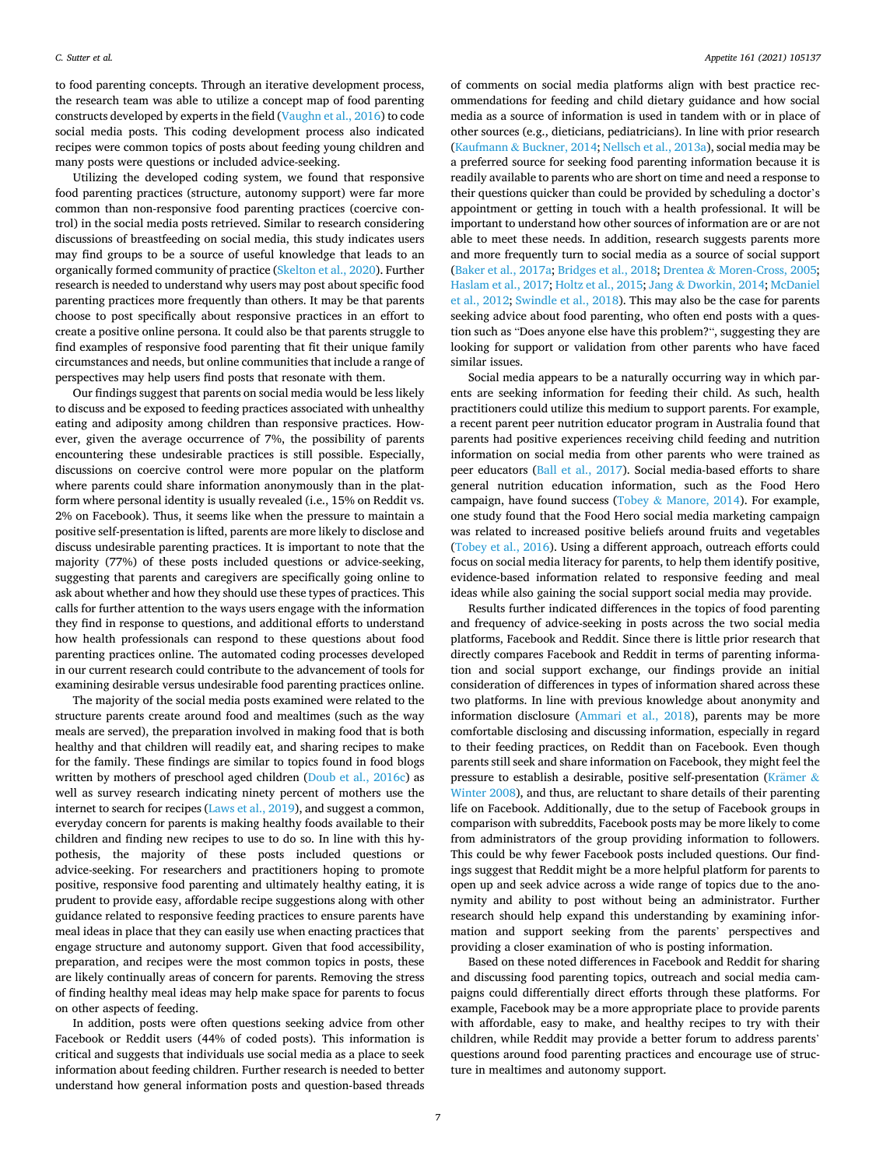to food parenting concepts. Through an iterative development process, the research team was able to utilize a concept map of food parenting constructs developed by experts in the field ([Vaughn et al., 2016\)](#page-8-0) to code social media posts. This coding development process also indicated recipes were common topics of posts about feeding young children and many posts were questions or included advice-seeking.

Utilizing the developed coding system, we found that responsive food parenting practices (structure, autonomy support) were far more common than non-responsive food parenting practices (coercive control) in the social media posts retrieved. Similar to research considering discussions of breastfeeding on social media, this study indicates users may find groups to be a source of useful knowledge that leads to an organically formed community of practice ([Skelton et al., 2020](#page-8-0)). Further research is needed to understand why users may post about specific food parenting practices more frequently than others. It may be that parents choose to post specifically about responsive practices in an effort to create a positive online persona. It could also be that parents struggle to find examples of responsive food parenting that fit their unique family circumstances and needs, but online communities that include a range of perspectives may help users find posts that resonate with them.

Our findings suggest that parents on social media would be less likely to discuss and be exposed to feeding practices associated with unhealthy eating and adiposity among children than responsive practices. However, given the average occurrence of 7%, the possibility of parents encountering these undesirable practices is still possible. Especially, discussions on coercive control were more popular on the platform where parents could share information anonymously than in the platform where personal identity is usually revealed (i.e., 15% on Reddit vs. 2% on Facebook). Thus, it seems like when the pressure to maintain a positive self-presentation is lifted, parents are more likely to disclose and discuss undesirable parenting practices. It is important to note that the majority (77%) of these posts included questions or advice-seeking, suggesting that parents and caregivers are specifically going online to ask about whether and how they should use these types of practices. This calls for further attention to the ways users engage with the information they find in response to questions, and additional efforts to understand how health professionals can respond to these questions about food parenting practices online. The automated coding processes developed in our current research could contribute to the advancement of tools for examining desirable versus undesirable food parenting practices online.

The majority of the social media posts examined were related to the structure parents create around food and mealtimes (such as the way meals are served), the preparation involved in making food that is both healthy and that children will readily eat, and sharing recipes to make for the family. These findings are similar to topics found in food blogs written by mothers of preschool aged children [\(Doub et al., 2016c\)](#page-8-0) as well as survey research indicating ninety percent of mothers use the internet to search for recipes ([Laws et al., 2019](#page-8-0)), and suggest a common, everyday concern for parents is making healthy foods available to their children and finding new recipes to use to do so. In line with this hypothesis, the majority of these posts included questions or advice-seeking. For researchers and practitioners hoping to promote positive, responsive food parenting and ultimately healthy eating, it is prudent to provide easy, affordable recipe suggestions along with other guidance related to responsive feeding practices to ensure parents have meal ideas in place that they can easily use when enacting practices that engage structure and autonomy support. Given that food accessibility, preparation, and recipes were the most common topics in posts, these are likely continually areas of concern for parents. Removing the stress of finding healthy meal ideas may help make space for parents to focus on other aspects of feeding.

In addition, posts were often questions seeking advice from other Facebook or Reddit users (44% of coded posts). This information is critical and suggests that individuals use social media as a place to seek information about feeding children. Further research is needed to better understand how general information posts and question-based threads

of comments on social media platforms align with best practice recommendations for feeding and child dietary guidance and how social media as a source of information is used in tandem with or in place of other sources (e.g., dieticians, pediatricians). In line with prior research (Kaufmann & [Buckner, 2014](#page-8-0); [Nellsch et al., 2013a\)](#page-8-0), social media may be a preferred source for seeking food parenting information because it is readily available to parents who are short on time and need a response to their questions quicker than could be provided by scheduling a doctor's appointment or getting in touch with a health professional. It will be important to understand how other sources of information are or are not able to meet these needs. In addition, research suggests parents more and more frequently turn to social media as a source of social support ([Baker et al., 2017a](#page-8-0); [Bridges et al., 2018;](#page-8-0) Drentea & [Moren-Cross, 2005](#page-8-0); [Haslam et al., 2017; Holtz et al., 2015](#page-8-0); Jang & [Dworkin, 2014](#page-8-0); [McDaniel](#page-8-0)  [et al., 2012](#page-8-0); [Swindle et al., 2018\)](#page-8-0). This may also be the case for parents seeking advice about food parenting, who often end posts with a question such as "Does anyone else have this problem?", suggesting they are looking for support or validation from other parents who have faced similar issues.

Social media appears to be a naturally occurring way in which parents are seeking information for feeding their child. As such, health practitioners could utilize this medium to support parents. For example, a recent parent peer nutrition educator program in Australia found that parents had positive experiences receiving child feeding and nutrition information on social media from other parents who were trained as peer educators [\(Ball et al., 2017](#page-8-0)). Social media-based efforts to share general nutrition education information, such as the Food Hero campaign, have found success (Tobey & [Manore, 2014](#page-8-0)). For example, one study found that the Food Hero social media marketing campaign was related to increased positive beliefs around fruits and vegetables ([Tobey et al., 2016\)](#page-8-0). Using a different approach, outreach efforts could focus on social media literacy for parents, to help them identify positive, evidence-based information related to responsive feeding and meal ideas while also gaining the social support social media may provide.

Results further indicated differences in the topics of food parenting and frequency of advice-seeking in posts across the two social media platforms, Facebook and Reddit. Since there is little prior research that directly compares Facebook and Reddit in terms of parenting information and social support exchange, our findings provide an initial consideration of differences in types of information shared across these two platforms. In line with previous knowledge about anonymity and information disclosure [\(Ammari et al., 2018\)](#page-8-0), parents may be more comfortable disclosing and discussing information, especially in regard to their feeding practices, on Reddit than on Facebook. Even though parents still seek and share information on Facebook, they might feel the pressure to establish a desirable, positive self-presentation (Krämer  $\&$ [Winter 2008\)](#page-8-0), and thus, are reluctant to share details of their parenting life on Facebook. Additionally, due to the setup of Facebook groups in comparison with subreddits, Facebook posts may be more likely to come from administrators of the group providing information to followers. This could be why fewer Facebook posts included questions. Our findings suggest that Reddit might be a more helpful platform for parents to open up and seek advice across a wide range of topics due to the anonymity and ability to post without being an administrator. Further research should help expand this understanding by examining information and support seeking from the parents' perspectives and providing a closer examination of who is posting information.

Based on these noted differences in Facebook and Reddit for sharing and discussing food parenting topics, outreach and social media campaigns could differentially direct efforts through these platforms. For example, Facebook may be a more appropriate place to provide parents with affordable, easy to make, and healthy recipes to try with their children, while Reddit may provide a better forum to address parents' questions around food parenting practices and encourage use of structure in mealtimes and autonomy support.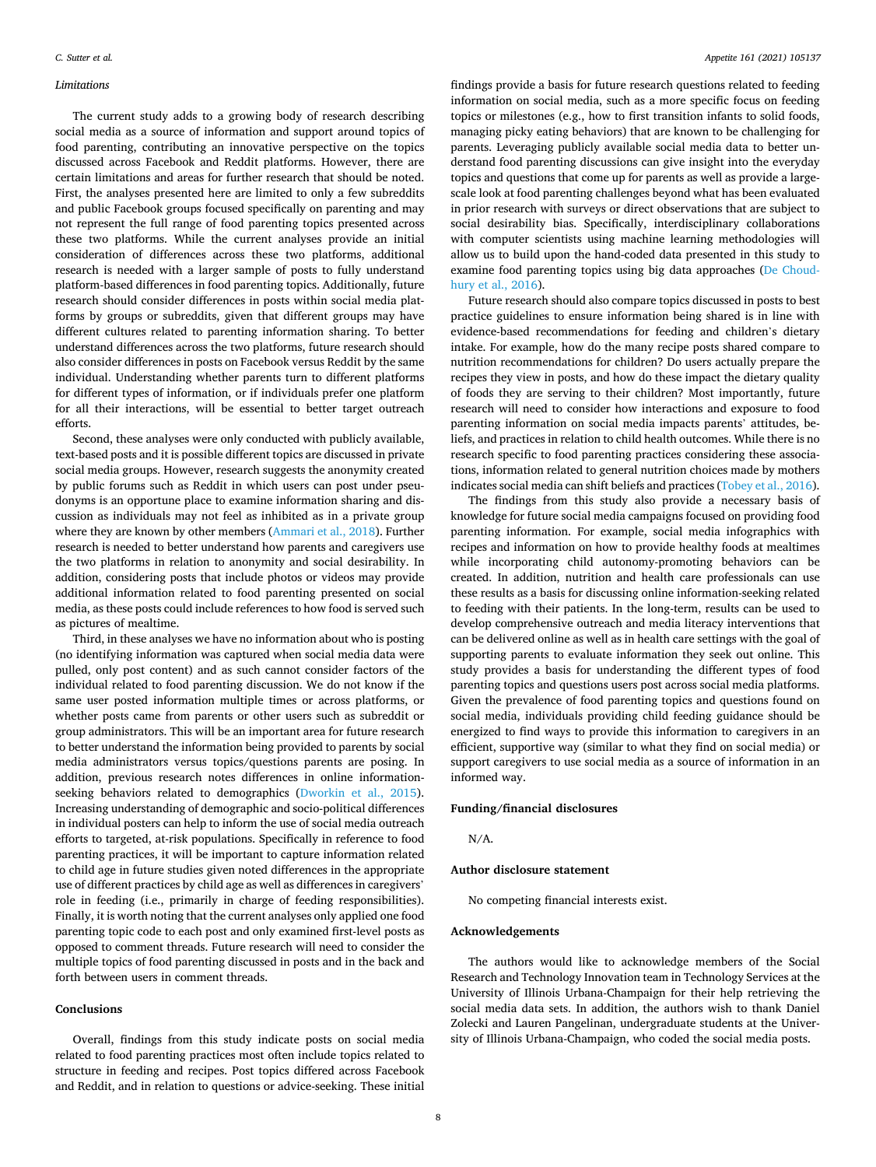## *Limitations*

The current study adds to a growing body of research describing social media as a source of information and support around topics of food parenting, contributing an innovative perspective on the topics discussed across Facebook and Reddit platforms. However, there are certain limitations and areas for further research that should be noted. First, the analyses presented here are limited to only a few subreddits and public Facebook groups focused specifically on parenting and may not represent the full range of food parenting topics presented across these two platforms. While the current analyses provide an initial consideration of differences across these two platforms, additional research is needed with a larger sample of posts to fully understand platform-based differences in food parenting topics. Additionally, future research should consider differences in posts within social media platforms by groups or subreddits, given that different groups may have different cultures related to parenting information sharing. To better understand differences across the two platforms, future research should also consider differences in posts on Facebook versus Reddit by the same individual. Understanding whether parents turn to different platforms for different types of information, or if individuals prefer one platform for all their interactions, will be essential to better target outreach efforts.

Second, these analyses were only conducted with publicly available, text-based posts and it is possible different topics are discussed in private social media groups. However, research suggests the anonymity created by public forums such as Reddit in which users can post under pseudonyms is an opportune place to examine information sharing and discussion as individuals may not feel as inhibited as in a private group where they are known by other members ([Ammari et al., 2018](#page-8-0)). Further research is needed to better understand how parents and caregivers use the two platforms in relation to anonymity and social desirability. In addition, considering posts that include photos or videos may provide additional information related to food parenting presented on social media, as these posts could include references to how food is served such as pictures of mealtime.

Third, in these analyses we have no information about who is posting (no identifying information was captured when social media data were pulled, only post content) and as such cannot consider factors of the individual related to food parenting discussion. We do not know if the same user posted information multiple times or across platforms, or whether posts came from parents or other users such as subreddit or group administrators. This will be an important area for future research to better understand the information being provided to parents by social media administrators versus topics/questions parents are posing. In addition, previous research notes differences in online information-seeking behaviors related to demographics [\(Dworkin et al., 2015](#page-8-0)). Increasing understanding of demographic and socio-political differences in individual posters can help to inform the use of social media outreach efforts to targeted, at-risk populations. Specifically in reference to food parenting practices, it will be important to capture information related to child age in future studies given noted differences in the appropriate use of different practices by child age as well as differences in caregivers' role in feeding (i.e., primarily in charge of feeding responsibilities). Finally, it is worth noting that the current analyses only applied one food parenting topic code to each post and only examined first-level posts as opposed to comment threads. Future research will need to consider the multiple topics of food parenting discussed in posts and in the back and forth between users in comment threads.

# **Conclusions**

Overall, findings from this study indicate posts on social media related to food parenting practices most often include topics related to structure in feeding and recipes. Post topics differed across Facebook and Reddit, and in relation to questions or advice-seeking. These initial

findings provide a basis for future research questions related to feeding information on social media, such as a more specific focus on feeding topics or milestones (e.g., how to first transition infants to solid foods, managing picky eating behaviors) that are known to be challenging for parents. Leveraging publicly available social media data to better understand food parenting discussions can give insight into the everyday topics and questions that come up for parents as well as provide a largescale look at food parenting challenges beyond what has been evaluated in prior research with surveys or direct observations that are subject to social desirability bias. Specifically, interdisciplinary collaborations with computer scientists using machine learning methodologies will allow us to build upon the hand-coded data presented in this study to examine food parenting topics using big data approaches ([De Choud](#page-8-0)[hury et al., 2016\)](#page-8-0).

Future research should also compare topics discussed in posts to best practice guidelines to ensure information being shared is in line with evidence-based recommendations for feeding and children's dietary intake. For example, how do the many recipe posts shared compare to nutrition recommendations for children? Do users actually prepare the recipes they view in posts, and how do these impact the dietary quality of foods they are serving to their children? Most importantly, future research will need to consider how interactions and exposure to food parenting information on social media impacts parents' attitudes, beliefs, and practices in relation to child health outcomes. While there is no research specific to food parenting practices considering these associations, information related to general nutrition choices made by mothers indicates social media can shift beliefs and practices ([Tobey et al., 2016](#page-8-0)).

The findings from this study also provide a necessary basis of knowledge for future social media campaigns focused on providing food parenting information. For example, social media infographics with recipes and information on how to provide healthy foods at mealtimes while incorporating child autonomy-promoting behaviors can be created. In addition, nutrition and health care professionals can use these results as a basis for discussing online information-seeking related to feeding with their patients. In the long-term, results can be used to develop comprehensive outreach and media literacy interventions that can be delivered online as well as in health care settings with the goal of supporting parents to evaluate information they seek out online. This study provides a basis for understanding the different types of food parenting topics and questions users post across social media platforms. Given the prevalence of food parenting topics and questions found on social media, individuals providing child feeding guidance should be energized to find ways to provide this information to caregivers in an efficient, supportive way (similar to what they find on social media) or support caregivers to use social media as a source of information in an informed way.

# **Funding/financial disclosures**

N/A.

## **Author disclosure statement**

No competing financial interests exist.

## **Acknowledgements**

The authors would like to acknowledge members of the Social Research and Technology Innovation team in Technology Services at the University of Illinois Urbana-Champaign for their help retrieving the social media data sets. In addition, the authors wish to thank Daniel Zolecki and Lauren Pangelinan, undergraduate students at the University of Illinois Urbana-Champaign, who coded the social media posts.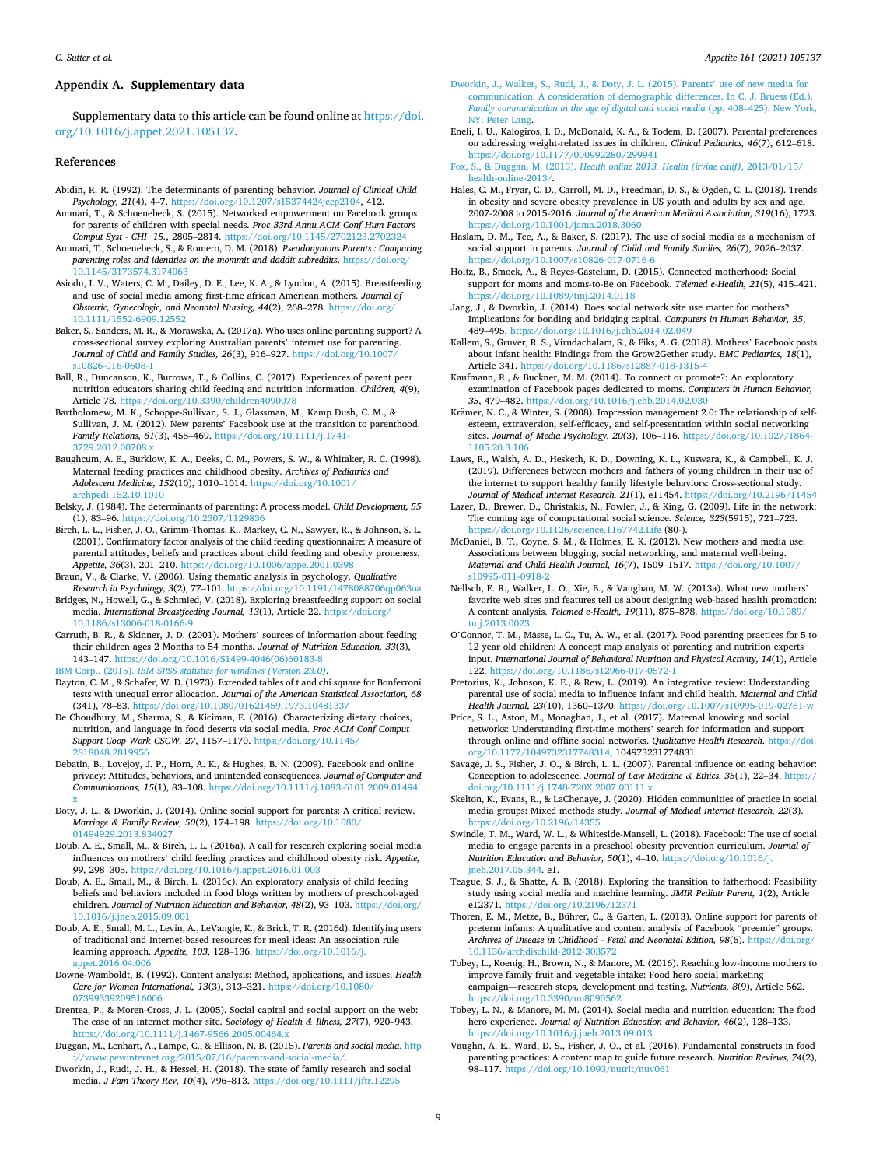# <span id="page-8-0"></span>**Appendix A. Supplementary data**

Supplementary data to this article can be found online at [https://doi.](https://doi.org/10.1016/j.appet.2021.105137)  [org/10.1016/j.appet.2021.105137.](https://doi.org/10.1016/j.appet.2021.105137)

# **References**

- Abidin, R. R. (1992). The determinants of parenting behavior. *Journal of Clinical Child Psychology, 21*(4), 4–7. <https://doi.org/10.1207/s15374424jccp2104>, 412.
- Ammari, T., & Schoenebeck, S. (2015). Networked empowerment on Facebook groups for parents of children with special needs. *Proc 33rd Annu ACM Conf Hum Factors Comput Syst - CHI '15.*, 2805–2814. <https://doi.org/10.1145/2702123.2702324>
- Ammari, T., Schoenebeck, S., & Romero, D. M. (2018). *Pseudonymous Parents : Comparing parenting roles and identities on the mommit and daddit subreddits*. [https://doi.org/](https://doi.org/10.1145/3173574.3174063)  [10.1145/3173574.3174063](https://doi.org/10.1145/3173574.3174063)
- Asiodu, I. V., Waters, C. M., Dailey, D. E., Lee, K. A., & Lyndon, A. (2015). Breastfeeding and use of social media among first-time african American mothers. *Journal of Obstetric, Gynecologic, and Neonatal Nursing, 44*(2), 268–278. [https://doi.org/](https://doi.org/10.1111/1552-6909.12552)  [10.1111/1552-6909.12552](https://doi.org/10.1111/1552-6909.12552)
- Baker, S., Sanders, M. R., & Morawska, A. (2017a). Who uses online parenting support? A cross-sectional survey exploring Australian parents' internet use for parenting. *Journal of Child and Family Studies, 26*(3), 916–927. [https://doi.org/10.1007/](https://doi.org/10.1007/s10826-016-0608-1)  [s10826-016-0608-1](https://doi.org/10.1007/s10826-016-0608-1)
- Ball, R., Duncanson, K., Burrows, T., & Collins, C. (2017). Experiences of parent peer nutrition educators sharing child feeding and nutrition information. *Children, 4*(9), Article 78. <https://doi.org/10.3390/children4090078>
- Bartholomew, M. K., Schoppe-Sullivan, S. J., Glassman, M., Kamp Dush, C. M., & Sullivan, J. M. (2012). New parents' Facebook use at the transition to parenthood. *Family Relations, 61*(3), 455–469. [https://doi.org/10.1111/j.1741-](https://doi.org/10.1111/j.1741-3729.2012.00708.x)  [3729.2012.00708.x](https://doi.org/10.1111/j.1741-3729.2012.00708.x)
- Baughcum, A. E., Burklow, K. A., Deeks, C. M., Powers, S. W., & Whitaker, R. C. (1998). Maternal feeding practices and childhood obesity. *Archives of Pediatrics and Adolescent Medicine, 152*(10), 1010–1014. [https://doi.org/10.1001/](https://doi.org/10.1001/archpedi.152.10.1010) [archpedi.152.10.1010](https://doi.org/10.1001/archpedi.152.10.1010)
- Belsky, J. (1984). The determinants of parenting: A process model. *Child Development, 55*   $(1), 83-96.$  https://doi.org/10.2307/11298
- Birch, L. L., Fisher, J. O., Grimm-Thomas, K., Markey, C. N., Sawyer, R., & Johnson, S. L. (2001). Confirmatory factor analysis of the child feeding questionnaire: A measure of parental attitudes, beliefs and practices about child feeding and obesity proneness. *Appetite, 36*(3), 201–210. <https://doi.org/10.1006/appe.2001.0398>
- Braun, V., & Clarke, V. (2006). Using thematic analysis in psychology. *Qualitative Research in Psychology, 3*(2), 77–101.<https://doi.org/10.1191/1478088706qp063oa>
- Bridges, N., Howell, G., & Schmied, V. (2018). Exploring breastfeeding support on social media. *International Breastfeeding Journal, 13*(1), Article 22. [https://doi.org/](https://doi.org/10.1186/s13006-018-0166-9)  [10.1186/s13006-018-0166-9](https://doi.org/10.1186/s13006-018-0166-9)
- Carruth, B. R., & Skinner, J. D. (2001). Mothers' sources of information about feeding their children ages 2 Months to 54 months. *Journal of Nutrition Education, 33*(3), 143–147. [https://doi.org/10.1016/S1499-4046\(06\)60183-8](https://doi.org/10.1016/S1499-4046(06)60183-8)
- IBM Corp.. (2015). *[IBM SPSS statistics for windows \(Version 23.0\)](http://refhub.elsevier.com/S0195-6663(21)00045-3/sref16)*.
- Dayton, C. M., & Schafer, W. D. (1973). Extended tables of t and chi square for Bonferroni tests with unequal error allocation. *Journal of the American Statistical Association, 68*  (341), 78–83.<https://doi.org/10.1080/01621459.1973.10481337>
- De Choudhury, M., Sharma, S., & Kiciman, E. (2016). Characterizing dietary choices, nutrition, and language in food deserts via social media. *Proc ACM Conf Comput Support Coop Work CSCW, 27*, 1157–1170. [https://doi.org/10.1145/](https://doi.org/10.1145/2818048.2819956)  [2818048.2819956](https://doi.org/10.1145/2818048.2819956)
- Debatin, B., Lovejoy, J. P., Horn, A. K., & Hughes, B. N. (2009). Facebook and online privacy: Attitudes, behaviors, and unintended consequences. *Journal of Computer and Communications, 15*(1), 83–108. [https://doi.org/10.1111/j.1083-6101.2009.01494.](https://doi.org/10.1111/j.1083-6101.2009.01494.x)  [x](https://doi.org/10.1111/j.1083-6101.2009.01494.x)
- Doty, J. L., & Dworkin, J. (2014). Online social support for parents: A critical review. *Marriage & Family Review, 50*(2), 174–198. [https://doi.org/10.1080/](https://doi.org/10.1080/01494929.2013.834027)  [01494929.2013.834027](https://doi.org/10.1080/01494929.2013.834027)
- Doub, A. E., Small, M., & Birch, L. L. (2016a). A call for research exploring social media influences on mothers' child feeding practices and childhood obesity risk. *Appetite, 99*, 298–305. <https://doi.org/10.1016/j.appet.2016.01.003>
- Doub, A. E., Small, M., & Birch, L. (2016c). An exploratory analysis of child feeding beliefs and behaviors included in food blogs written by mothers of preschool-aged children. *Journal of Nutrition Education and Behavior, 48*(2), 93–103. [https://doi.org/](https://doi.org/10.1016/j.jneb.2015.09.001)  [10.1016/j.jneb.2015.09.001](https://doi.org/10.1016/j.jneb.2015.09.001)
- Doub, A. E., Small, M. L., Levin, A., LeVangie, K., & Brick, T. R. (2016d). Identifying users of traditional and Internet-based resources for meal ideas: An association rule learning approach. *Appetite, 103*, 128–136. [https://doi.org/10.1016/j.](https://doi.org/10.1016/j.appet.2016.04.006) et.2016.04.006
- Downe-Wamboldt, B. (1992). Content analysis: Method, applications, and issues. *Health Care for Women International, 13*(3), 313–321. [https://doi.org/10.1080/](https://doi.org/10.1080/07399339209516006) [07399339209516006](https://doi.org/10.1080/07399339209516006)
- Drentea, P., & Moren-Cross, J. L. (2005). Social capital and social support on the web: The case of an internet mother site. *Sociology of Health & Illness, 27*(7), 920–943. <https://doi.org/10.1111/j.1467-9566.2005.00464.x>
- Duggan, M., Lenhart, A., Lampe, C., & Ellison, N. B. (2015). *Parents and social media*. [http](http://www.pewinternet.org/2015/07/16/parents-and-social-media/)  .pewinternet.org/2015/07/16/parents-and-social-media/.
- Dworkin, J., Rudi, J. H., & Hessel, H. (2018). The state of family research and social media. *J Fam Theory Rev, 10*(4), 796–813. <https://doi.org/10.1111/jftr.12295>
- [Dworkin, J., Walker, S., Rudi, J., & Doty, J. L. \(2015\). Parents](http://refhub.elsevier.com/S0195-6663(21)00045-3/sref30)' use of new media for [communication: A consideration of demographic differences. In C. J. Bruess \(Ed.\),](http://refhub.elsevier.com/S0195-6663(21)00045-3/sref30)  *[Family communication in the age of digital and social media](http://refhub.elsevier.com/S0195-6663(21)00045-3/sref30) (pp. 408-425). New York,* [NY: Peter Lang](http://refhub.elsevier.com/S0195-6663(21)00045-3/sref30).
- Eneli, I. U., Kalogiros, I. D., McDonald, K. A., & Todem, D. (2007). Parental preferences on addressing weight-related issues in children. *Clinical Pediatrics, 46*(7), 612–618. <https://doi.org/10.1177/0009922807299941>
- Fox, S., & Duggan, M. (2013). *[Health online 2013. Health \(irvine calif\)](http://refhub.elsevier.com/S0195-6663(21)00045-3/sref32)*, 2013/01/15/ [health-online-2013/.](http://refhub.elsevier.com/S0195-6663(21)00045-3/sref32)
- Hales, C. M., Fryar, C. D., Carroll, M. D., Freedman, D. S., & Ogden, C. L. (2018). Trends in obesity and severe obesity prevalence in US youth and adults by sex and age, 2007-2008 to 2015-2016. *Journal of the American Medical Association, 319*(16), 1723. <https://doi.org/10.1001/jama.2018.3060>
- Haslam, D. M., Tee, A., & Baker, S. (2017). The use of social media as a mechanism of social support in parents. *Journal of Child and Family Studies, 26*(7), 2026–2037. <https://doi.org/10.1007/s10826-017-0716-6>
- Holtz, B., Smock, A., & Reyes-Gastelum, D. (2015). Connected motherhood: Social support for moms and moms-to-Be on Facebook. *Telemed e-Health, 21*(5), 415–421. /doi.org/10.1089/tmj.2014.0118
- Jang, J., & Dworkin, J. (2014). Does social network site use matter for mothers? Implications for bonding and bridging capital. *Computers in Human Behavior, 35*, 489–495. <https://doi.org/10.1016/j.chb.2014.02.049>
- Kallem, S., Gruver, R. S., Virudachalam, S., & Fiks, A. G. (2018). Mothers' Facebook posts about infant health: Findings from the Grow2Gether study. *BMC Pediatrics, 18*(1), Article 341.<https://doi.org/10.1186/s12887-018-1315-4>
- Kaufmann, R., & Buckner, M. M. (2014). To connect or promote?: An exploratory examination of Facebook pages dedicated to moms. *Computers in Human Behavior, 35*, 479–482. <https://doi.org/10.1016/j.chb.2014.02.030>
- Krämer, N. C., & Winter, S. (2008). Impression management 2.0: The relationship of selfesteem, extraversion, self-efficacy, and self-presentation within social networking sites. *Journal of Media Psychology, 20*(3), 106–116. [https://doi.org/10.1027/1864-](https://doi.org/10.1027/1864-1105.20.3.106)  [1105.20.3.106](https://doi.org/10.1027/1864-1105.20.3.106)
- Laws, R., Walsh, A. D., Hesketh, K. D., Downing, K. L., Kuswara, K., & Campbell, K. J. (2019). Differences between mothers and fathers of young children in their use of the internet to support healthy family lifestyle behaviors: Cross-sectional study. *Journal of Medical Internet Research, 21*(1), e11454. <https://doi.org/10.2196/11454>
- Lazer, D., Brewer, D., Christakis, N., Fowler, J., & King, G. (2009). Life in the network: The coming age of computational social science. *Science*, 323(5915), 721–723. <https://doi.org/10.1126/science.1167742.Life>(80-).
- McDaniel, B. T., Coyne, S. M., & Holmes, E. K. (2012). New mothers and media use: Associations between blogging, social networking, and maternal well-being. *Maternal and Child Health Journal, 16*(7), 1509–1517. [https://doi.org/10.1007/](https://doi.org/10.1007/s10995-011-0918-2) s10995-011-0918-2
- Nellsch, E. R., Walker, L. O., Xie, B., & Vaughan, M. W. (2013a). What new mothers' favorite web sites and features tell us about designing web-based health promotion: A content analysis. *Telemed e-Health, 19*(11), 875–878. [https://doi.org/10.1089/](https://doi.org/10.1089/tmj.2013.0023) [tmj.2013.0023](https://doi.org/10.1089/tmj.2013.0023)
- O'Connor, T. M., Mâsse, L. C., Tu, A. W., et al. (2017). Food parenting practices for 5 to 12 year old children: A concept map analysis of parenting and nutrition experts input. *International Journal of Behavioral Nutrition and Physical Activity, 14*(1), Article 122. <https://doi.org/10.1186/s12966-017-0572-1>
- Pretorius, K., Johnson, K. E., & Rew, L. (2019). An integrative review: Understanding parental use of social media to influence infant and child health. *Maternal and Child Health Journal, 23*(10), 1360–1370.<https://doi.org/10.1007/s10995-019-02781-w>
- Price, S. L., Aston, M., Monaghan, J., et al. (2017). Maternal knowing and social networks: Understanding first-time mothers' search for information and support through online and offline social networks. *Qualitative Health Research*. [https://doi.](https://doi.org/10.1177/1049732317748314) [org/10.1177/1049732317748314,](https://doi.org/10.1177/1049732317748314) 104973231774831.
- Savage, J. S., Fisher, J. O., & Birch, L. L. (2007). Parental influence on eating behavior: Conception to adolescence. *Journal of Law Medicine & Ethics, 35*(1), 22-34. https: doi.org/10.1111/j.1748-720X.2007.00111
- Skelton, K., Evans, R., & LaChenaye, J. (2020). Hidden communities of practice in social media groups: Mixed methods study. *Journal of Medical Internet Research, 22*(3). doi.org/10.2196/14355
- Swindle, T. M., Ward, W. L., & Whiteside-Mansell, L. (2018). Facebook: The use of social media to engage parents in a preschool obesity prevention curriculum. *Journal of Nutrition Education and Behavior, 50*(1), 4–10. [https://doi.org/10.1016/j.](https://doi.org/10.1016/j.jneb.2017.05.344)  [jneb.2017.05.344](https://doi.org/10.1016/j.jneb.2017.05.344). e1.
- Teague, S. J., & Shatte, A. B. (2018). Exploring the transition to fatherhood: Feasibility study using social media and machine learning. *JMIR Pediatr Parent, 1*(2), Article e12371. <https://doi.org/10.2196/12371>
- Thoren, E. M., Metze, B., Bührer, C., & Garten, L. (2013). Online support for parents of preterm infants: A qualitative and content analysis of Facebook "preemie" groups. *Archives of Disease in Childhood - Fetal and Neonatal Edition, 98*(6). [https://doi.org/](https://doi.org/10.1136/archdischild-2012-303572) [10.1136/archdischild-2012-303572](https://doi.org/10.1136/archdischild-2012-303572)
- Tobey, L., Koenig, H., Brown, N., & Manore, M. (2016). Reaching low-income mothers to improve family fruit and vegetable intake: Food hero social marketing campaign—research steps, development and testing. *Nutrients, 8*(9), Article 562. <https://doi.org/10.3390/nu8090562>
- Tobey, L. N., & Manore, M. M. (2014). Social media and nutrition education: The food hero experience. *Journal of Nutrition Education and Behavior, 46*(2), 128–133. <https://doi.org/10.1016/j.jneb.2013.09.013>
- Vaughn, A. E., Ward, D. S., Fisher, J. O., et al. (2016). Fundamental constructs in food parenting practices: A content map to guide future research. *Nutrition Reviews, 74*(2), 98–117. <https://doi.org/10.1093/nutrit/nuv061>